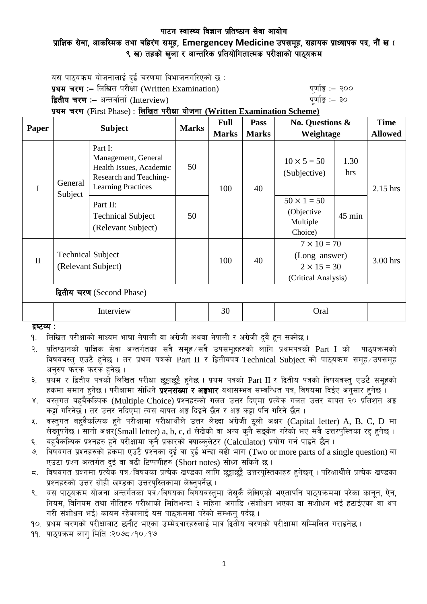## पाटन स्वास्थ्य विज्ञान प्रतिष्ठान सेवा आयोग प्राज्ञिक सेवा, आकस्मिक तथा बहिरंग समूह, Emergencey Medicine उपसमूह, सहायक प्राध्यापक पद, नौं ख ( ९ ख) तहको खला र आन्तरिक प्रतियोगितात्मक परीक्षाको पाठयक्रम

यस पाठयक्रम योजनालाई दई चरणमा विभाजनगरिएको छ : **प्रथम चरण :–** लिखित परीक्षा (Written Examination) k" b" while a "quing" :– २०० द्वितीय चरण :– अन्तर्वार्ता (Interview) katalactic metal metal which we have the set of  $\mathbf{q}$ 

प्रथम चरण (First Phase) : लिखित परीक्षा योजना (Written Examination Scheme)

| Paper                      | <b>Subject</b>                                 |                                                                                                                        | <b>Marks</b> | <b>Full</b>  | <b>Pass</b>                        | <b>No. Questions &amp;</b><br>Weightage                                          |            | <b>Time</b>    |
|----------------------------|------------------------------------------------|------------------------------------------------------------------------------------------------------------------------|--------------|--------------|------------------------------------|----------------------------------------------------------------------------------|------------|----------------|
|                            |                                                |                                                                                                                        |              | <b>Marks</b> | <b>Marks</b>                       |                                                                                  |            | <b>Allowed</b> |
| $\mathbf I$                | General<br>Subject                             | Part I:<br>Management, General<br>50<br>Health Issues, Academic<br>Research and Teaching-<br><b>Learning Practices</b> | 100          | 40           | $10 \times 5 = 50$<br>(Subjective) | 1.30<br>hrs                                                                      | $2.15$ hrs |                |
|                            |                                                | Part II:<br><b>Technical Subject</b><br>(Relevant Subject)                                                             | 50           |              |                                    | $50 \times 1 = 50$<br>(Objective<br>Multiple<br>Choice)                          | $45$ min   |                |
| $\mathbf{I}$               | <b>Technical Subject</b><br>(Relevant Subject) |                                                                                                                        |              | 100          | 40                                 | $7 \times 10 = 70$<br>(Long answer)<br>$2 \times 15 = 30$<br>(Critical Analysis) |            | 3.00 hrs       |
| द्वितीय चरण (Second Phase) |                                                |                                                                                                                        |              |              |                                    |                                                                                  |            |                |
|                            | Interview                                      |                                                                                                                        |              | 30           |                                    | Oral                                                                             |            |                |

 $g$   $g$   $g$   $\sim$   $g$   $\sim$   $g$   $\sim$   $g$ 

<u>9. लिखित परीक्षाको माध्यम भाषा नेपाली वा अंग्रेजी अथवा नेपाली र अंग्रेजी दुवै हुन सक्नेछ ।</u>

२. प्रतिष्ठानको प्राज्ञिक सेवा अन्तर्गतका सवै समूह सवै उपसमूहहरुको लागि प्रथमपत्रको  $\operatorname{Part}$  I को पाठ्यक्रमको विषयवस्तु एउटै हुनेछ । तर प्रथम पत्रको Part II र द्वितीयपत्र Technical Subject को पाठयक्रम समह उपसमह अनुरुप फरक फरक हुनेछ ।

३. प्रथम र द्वितीय पत्रको लिखित परीक्षा छट्टाछट्टै हनेछ । प्रथम पत्रको Part II र द्वितीय पत्रको विषयवस्त् एउटै समूहको हकमा समान हुनेछ । परीक्षामा सोधिने **प्रश्नसंख्या र अङ्गभार** यथासम्भव सम्बन्धित पत्र, विषयमा दिईए अनुसार हुनेछ ।

- ४. वस्तुगत बहुवैकस्पिक (Multiple Choice) प्रश्नहरुको गलत उत्तर दिएमा प्रत्येक गलत उत्तर बापत २० प्रतिशत अङ्क कट्टा गरिनेछ । तर उत्तर नदिएमा त्यस बापत अङ्ग दिइने छैन र अङ्ग कट्टा पनि गरिने छैन ।
- $\,$ ४. वस्तुगत बहुवैकल्पिक हुने परीक्षामा परीक्षार्थीले उत्तर लेख्दा अंग्रेजी ठुलो अक्षर (Capital letter) A, B, C, D मा लेख्नुपर्नेछ । सानो अक्षर $\widetilde{\textbf{S}}$ mall letter) a, b, c, d लेखेको वा अन्य कुनै सङ्केत गरेको भए सबै उत्तरपुस्तिका रद्द हुनेछ ।
- ६. बहुवैकल्पिक प्रश्नहरु हुने परीक्षामा कुनै प्रकारको क्याल्कुलेटर (Calculator) प्रयोग गर्न पाइने छैन ।
- ७. विषयगत प्रश्नहरुको हकमा एउटै प्रश्नका दुई वा दुई भन्दा बढी भाग (Two or more parts of a single question) वा एउटा प्रश्न अन्तर्गत दई वा बढी टिप्पणीहरु (Short notes) सोध्न सकिने छ।
- $\,$ द. विषयगत प्रश्नमा प्रत्येक पत्र विषयका प्रत्येक खण्डका लागि छुट्टाछुट्टै उत्तरपुस्तिकाहरु हुनेछन् । परिक्षार्थीले प्रत्येक खण्डका प्रश्नहरुको उत्तर सोही खण्डका उत्तरपस्तिकामा लेख्नुपर्नेछ ।
- ९. यस पाठयक्रम योजना अन्तर्गतका पत्रे विषयका विषयवस्तमा जेसकै लेखिएको भएतापनि पाठयक्रममा परेका कानन, ऐन, नियम, विनियम तथा नीतिहरु परीक्षाको मितिभन्दा ३ महिना अगाडि (संशोधन भएका वा संशोधन भई हटाईएका वा थप गरी संशोधन भई) कायम रहेकालाई यस पाठुकममा परेको सम्भन् पर्दछ ।

<u>१०. प्रथम चरणको परीक्षाबाट छनौट भएका उम्मेदवारहरुलाई मात्र द्वितीय चरणको परीक्षामा सम्मिलित गराइनेछ ।</u>

११. पाठुयक्रम लाग मिति :२०७८ ∕१० ⁄ १७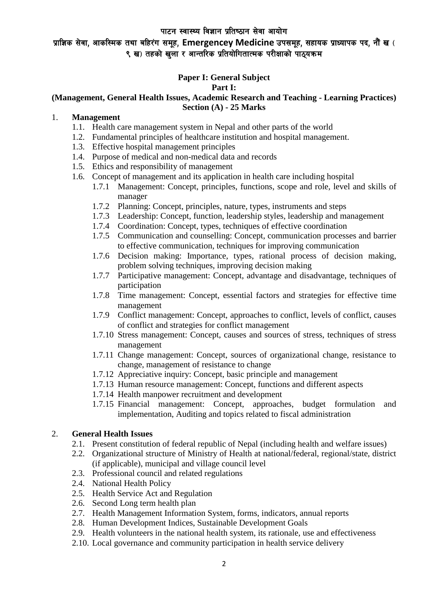# प्राज्ञिक सेवा, आकस्मिक तथा बहिरंग समूह, Emergencey Medicine उपसमूह, सहायक प्राध्यापक पद, नौं ख ( ९ ख) तहको खला र आन्तरिक प्रतियोगितात्मक परीक्षाको पाठयक्रम

## **Paper I: General Subject**

#### **Part I:**

### **(Management, General Health Issues, Academic Research and Teaching - Learning Practices) Section (A) - 25 Marks**

### 1. **Management**

- 1.1. Health care management system in Nepal and other parts of the world
- 1.2. Fundamental principles of healthcare institution and hospital management.
- 1.3. Effective hospital management principles
- 1.4. Purpose of medical and non-medical data and records
- 1.5. Ethics and responsibility of management
- 1.6. Concept of management and its application in health care including hospital
	- 1.7.1 Management: Concept, principles, functions, scope and role, level and skills of manager
	- 1.7.2 Planning: Concept, principles, nature, types, instruments and steps
	- 1.7.3 Leadership: Concept, function, leadership styles, leadership and management
	- 1.7.4 Coordination: Concept, types, techniques of effective coordination
	- 1.7.5 Communication and counselling: Concept, communication processes and barrier to effective communication, techniques for improving communication
	- 1.7.6 Decision making: Importance, types, rational process of decision making, problem solving techniques, improving decision making
	- 1.7.7 Participative management: Concept, advantage and disadvantage, techniques of participation
	- 1.7.8 Time management: Concept, essential factors and strategies for effective time management
	- 1.7.9 Conflict management: Concept, approaches to conflict, levels of conflict, causes of conflict and strategies for conflict management
	- 1.7.10 Stress management: Concept, causes and sources of stress, techniques of stress management
	- 1.7.11 Change management: Concept, sources of organizational change, resistance to change, management of resistance to change
	- 1.7.12 Appreciative inquiry: Concept, basic principle and management
	- 1.7.13 Human resource management: Concept, functions and different aspects
	- 1.7.14 Health manpower recruitment and development
	- 1.7.15 Financial management: Concept, approaches, budget formulation and implementation, Auditing and topics related to fiscal administration

### 2. **General Health Issues**

- 2.1. Present constitution of federal republic of Nepal (including health and welfare issues)
- 2.2. Organizational structure of Ministry of Health at national/federal, regional/state, district (if applicable), municipal and village council level
- 2.3. Professional council and related regulations
- 2.4. National Health Policy
- 2.5. Health Service Act and Regulation
- 2.6. Second Long term health plan
- 2.7. Health Management Information System, forms, indicators, annual reports
- 2.8. Human Development Indices, Sustainable Development Goals
- 2.9. Health volunteers in the national health system, its rationale, use and effectiveness
- 2.10. Local governance and community participation in health service delivery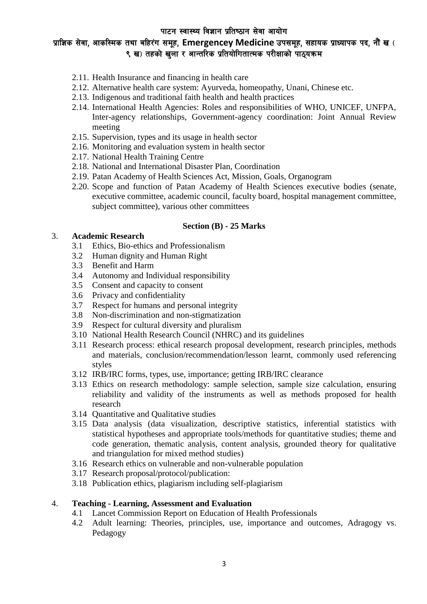# प्राज्ञिक सेवा, आकस्मिक तथा बहिरंग समूह, Emergencey Medicine उपसमूह, सहायक प्राध्यापक पद, नौं ख ( ९ ख) तहको खला र आन्तरिक प्रतियोगितात्मक परीक्षाको पाठयक्रम

- 2.11. Health Insurance and financing in health care
- 2.12. Alternative health care system: Ayurveda, homeopathy, Unani, Chinese etc.
- 2.13. Indigenous and traditional faith health and health practices
- 2.14. International Health Agencies: Roles and responsibilities of WHO, UNICEF, UNFPA, Inter-agency relationships, Government-agency coordination: Joint Annual Review meeting
- 2.15. Supervision, types and its usage in health sector
- 2.16. Monitoring and evaluation system in health sector
- 2.17. National Health Training Centre
- 2.18. National and International Disaster Plan, Coordination
- 2.19. Patan Academy of Health Sciences Act, Mission, Goals, Organogram
- 2.20. Scope and function of Patan Academy of Health Sciences executive bodies (senate, executive committee, academic council, faculty board, hospital management committee, subject committee), various other committees

#### **Section (B) - 25 Marks**

#### 3. **Academic Research**

- 3.1 Ethics, Bio-ethics and Professionalism
- 3.2 Human dignity and Human Right
- 3.3 Benefit and Harm
- 3.4 Autonomy and Individual responsibility
- 3.5 Consent and capacity to consent
- 3.6 Privacy and confidentiality
- 3.7 Respect for humans and personal integrity
- 3.8 Non-discrimination and non-stigmatization
- 3.9 Respect for cultural diversity and pluralism
- 3.10 National Health Research Council (NHRC) and its guidelines
- 3.11 Research process: ethical research proposal development, research principles, methods and materials, conclusion/recommendation/lesson learnt, commonly used referencing styles
- 3.12 IRB/IRC forms, types, use, importance; getting IRB/IRC clearance
- 3.13 Ethics on research methodology: sample selection, sample size calculation, ensuring reliability and validity of the instruments as well as methods proposed for health research
- 3.14 Quantitative and Qualitative studies
- 3.15 Data analysis (data visualization, descriptive statistics, inferential statistics with statistical hypotheses and appropriate tools/methods for quantitative studies; theme and code generation, thematic analysis, content analysis, grounded theory for qualitative and triangulation for mixed method studies)
- 3.16 Research ethics on vulnerable and non-vulnerable population
- 3.17 Research proposal/protocol/publication:
- 3.18 Publication ethics, plagiarism including self-plagiarism

### 4. **Teaching - Learning, Assessment and Evaluation**

- 4.1 Lancet Commission Report on Education of Health Professionals
- 4.2 Adult learning: Theories, principles, use, importance and outcomes, Adragogy vs. Pedagogy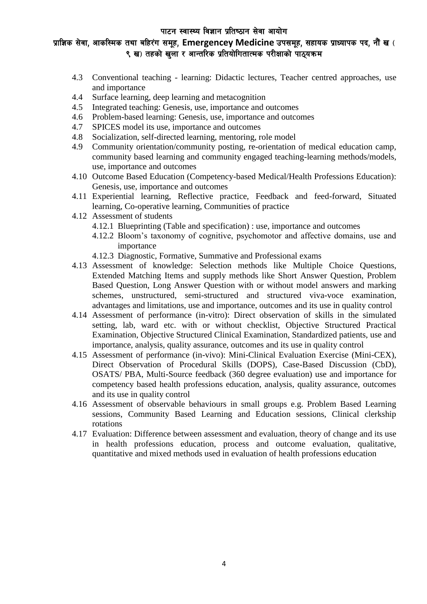# प्राज्ञिक सेवा, आकस्मिक तथा बहिरंग समूह, Emergencey Medicine उपसमूह, सहायक प्राध्यापक पद, नौं ख ( ९ ख) तहको खला र आन्तरिक प्रतियोगितात्मक परीक्षाको पाठयक्रम

- 4.3 Conventional teaching learning: Didactic lectures, Teacher centred approaches, use and importance
- 4.4 Surface learning, deep learning and metacognition
- 4.5 Integrated teaching: Genesis, use, importance and outcomes
- 4.6 Problem-based learning: Genesis, use, importance and outcomes
- 4.7 SPICES model its use, importance and outcomes
- 4.8 Socialization, self-directed learning, mentoring, role model
- 4.9 Community orientation/community posting, re-orientation of medical education camp, community based learning and community engaged teaching-learning methods/models, use, importance and outcomes
- 4.10 Outcome Based Education (Competency-based Medical/Health Professions Education): Genesis, use, importance and outcomes
- 4.11 Experiential learning, Reflective practice, Feedback and feed-forward, Situated learning, Co-operative learning, Communities of practice
- 4.12 Assessment of students
	- 4.12.1 Blueprinting (Table and specification) : use, importance and outcomes
	- 4.12.2 Bloom's taxonomy of cognitive, psychomotor and affective domains, use and importance
	- 4.12.3 Diagnostic, Formative, Summative and Professional exams
- 4.13 Assessment of knowledge: Selection methods like Multiple Choice Questions, Extended Matching Items and supply methods like Short Answer Question, Problem Based Question, Long Answer Question with or without model answers and marking schemes, unstructured, semi-structured and structured viva-voce examination, advantages and limitations, use and importance, outcomes and its use in quality control
- 4.14 Assessment of performance (in-vitro): Direct observation of skills in the simulated setting, lab, ward etc. with or without checklist, Objective Structured Practical Examination, Objective Structured Clinical Examination, Standardized patients, use and importance, analysis, quality assurance, outcomes and its use in quality control
- 4.15 Assessment of performance (in-vivo): Mini-Clinical Evaluation Exercise (Mini-CEX), Direct Observation of Procedural Skills (DOPS), Case-Based Discussion (CbD), OSATS/ PBA, Multi-Source feedback (360 degree evaluation) use and importance for competency based health professions education, analysis, quality assurance, outcomes and its use in quality control
- 4.16 Assessment of observable behaviours in small groups e.g. Problem Based Learning sessions, Community Based Learning and Education sessions, Clinical clerkship rotations
- 4.17 Evaluation: Difference between assessment and evaluation, theory of change and its use in health professions education, process and outcome evaluation, qualitative, quantitative and mixed methods used in evaluation of health professions education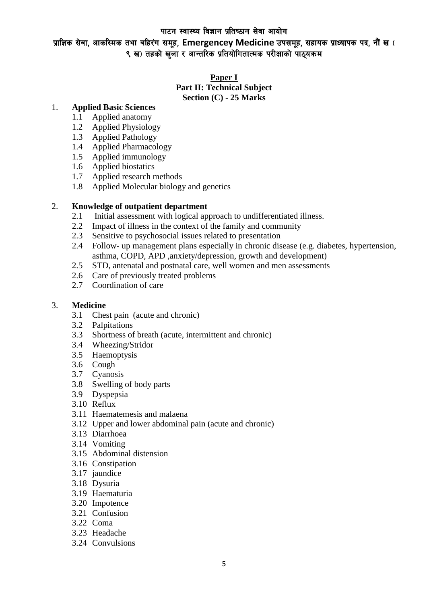प्राज्ञिक सेवा, आकस्मिक तथा बहिरंग समूह, Emergencey Medicine उपसमूह, सहायक प्राध्यापक पद, नौं ख ( ९ ख) तहको खला र आन्तरिक प्रतियोगितात्मक परीक्षाको पाठयक्रम

#### **Paper I Part II: Technical Subject Section (C) - 25 Marks**

### 1. **Applied Basic Sciences**

- 1.1 Applied anatomy
- 1.2 Applied Physiology
- 1.3 Applied Pathology
- 1.4 Applied Pharmacology
- 1.5 Applied immunology
- 1.6 Applied biostatics
- 1.7 Applied research methods
- 1.8 Applied Molecular biology and genetics

#### 2. **Knowledge of outpatient department**

- 2.1 Initial assessment with logical approach to undifferentiated illness.
- 2.2 Impact of illness in the context of the family and community
- 2.3 Sensitive to psychosocial issues related to presentation
- 2.4 Follow- up management plans especially in chronic disease (e.g. diabetes, hypertension, asthma, COPD, APD ,anxiety/depression, growth and development)
- 2.5 STD, antenatal and postnatal care, well women and men assessments
- 2.6 Care of previously treated problems
- 2.7 Coordination of care

#### 3. **Medicine**

- 3.1 Chest pain (acute and chronic)
- 3.2 Palpitations
- 3.3 Shortness of breath (acute, intermittent and chronic)
- 3.4 Wheezing/Stridor
- 3.5 Haemoptysis
- 3.6 Cough
- 3.7 Cyanosis
- 3.8 Swelling of body parts
- 3.9 Dyspepsia
- 3.10 Reflux
- 3.11 Haematemesis and malaena
- 3.12 Upper and lower abdominal pain (acute and chronic)
- 3.13 Diarrhoea
- 3.14 Vomiting
- 3.15 Abdominal distension
- 3.16 Constipation
- 3.17 jaundice
- 3.18 Dysuria
- 3.19 Haematuria
- 3.20 Impotence
- 3.21 Confusion
- 3.22 Coma
- 3.23 Headache
- 3.24 Convulsions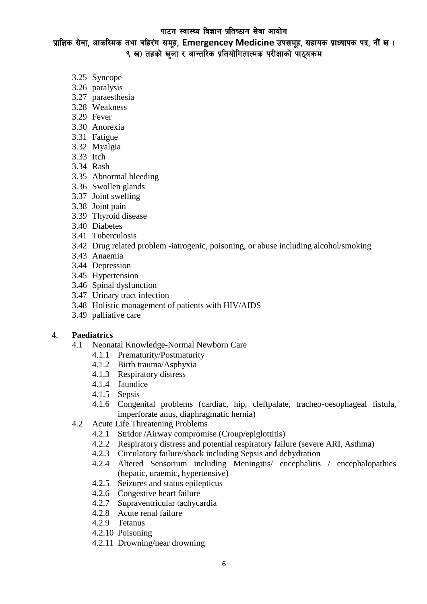प्राज्ञिक सेवा, आकस्मिक तथा बहिरंग समूह, Emergencey Medicine उपसमूह, सहायक प्राध्यापक पद, नौं ख ( ९ ख) तहको खला र आन्तरिक प्रतियोगितात्मक परीक्षाको पाठयक्रम

- 3.25 Syncope
- 3.26 paralysis
- 3.27 paraesthesia
- 3.28 Weakness
- 3.29 Fever
- 3.30 Anorexia
- 3.31 Fatigue
- 3.32 Myalgia
- 3.33 Itch
- 3.34 Rash
- 3.35 Abnormal bleeding
- 3.36 Swollen glands
- 3.37 Joint swelling
- 3.38 Joint pain
- 3.39 Thyroid disease
- 3.40 Diabetes
- 3.41 Tuberculosis
- 3.42 Drug related problem -iatrogenic, poisoning, or abuse including alcohol/smoking
- 3.43 Anaemia
- 3.44 Depression
- 3.45 Hypertension
- 3.46 Spinal dysfunction
- 3.47 Urinary tract infection
- 3.48 Holistic management of patients with HIV/AIDS
- 3.49 palliative care

#### 4. **Paediatrics**

- 4.1 Neonatal Knowledge-Normal Newborn Care
	- 4.1.1 Prematurity/Postmaturity
	- 4.1.2 Birth trauma/Asphyxia
	- 4.1.3 Respiratory distress
	- 4.1.4 Jaundice
	- 4.1.5 Sepsis
	- 4.1.6 Congenital problems (cardiac, hip, cleftpalate, tracheo-oesophageal fistula, imperforate anus, diaphragmatic hernia)
- 4.2 Acute Life Threatening Problems
	- 4.2.1 Stridor /Airway compromise (Croup/epiglottitis)
	- 4.2.2 Respiratory distress and potential respiratory failure (severe ARI, Asthma)
	- 4.2.3 Circulatory failure/shock including Sepsis and dehydration
	- 4.2.4 Altered Sensorium including Meningitis/ encephalitis / encephalopathies (hepatic, uraemic, hypertensive)
	- 4.2.5 Seizures and status epilepticus
	- 4.2.6 Congestive heart failure
	- 4.2.7 Supraventricular tachycardia
	- 4.2.8 Acute renal failure
	- 4.2.9 Tetanus
	- 4.2.10 Poisoning
	- 4.2.11 Drowning/near drowning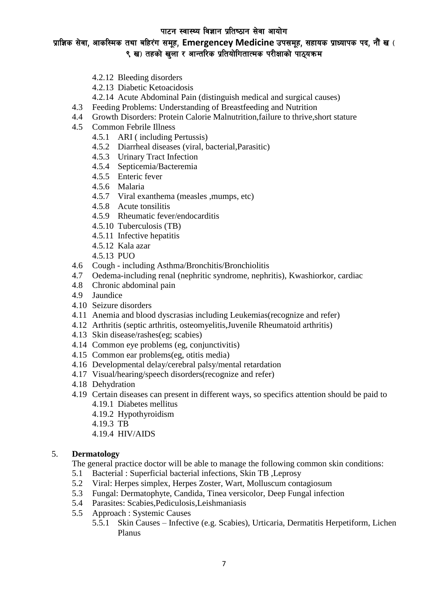## प्राज्ञिक सेवा, आकस्मिक तथा बहिरंग समूह, Emergencey Medicine उपसमूह, सहायक प्राध्यापक पद, नौं ख ( ९ ख) तहको खला र आन्तरिक प्रतियोगितात्मक परीक्षाको पाठयक्रम

- 4.2.12 Bleeding disorders
- 4.2.13 Diabetic Ketoacidosis
- 4.2.14 Acute Abdominal Pain (distinguish medical and surgical causes)
- 4.3 Feeding Problems: Understanding of Breastfeeding and Nutrition
- 4.4 Growth Disorders: Protein Calorie Malnutrition,failure to thrive,short stature
- 4.5 Common Febrile Illness
	- 4.5.1 ARI ( including Pertussis)
	- 4.5.2 Diarrheal diseases (viral, bacterial,Parasitic)
	- 4.5.3 Urinary Tract Infection
	- 4.5.4 Septicemia/Bacteremia
	- 4.5.5 Enteric fever
	- 4.5.6 Malaria
	- 4.5.7 Viral exanthema (measles ,mumps, etc)
	- 4.5.8 Acute tonsilitis
	- 4.5.9 Rheumatic fever/endocarditis
	- 4.5.10 Tuberculosis (TB)
	- 4.5.11 Infective hepatitis
	- 4.5.12 Kala azar
	- 4.5.13 PUO
- 4.6 Cough including Asthma/Bronchitis/Bronchiolitis
- 4.7 Oedema-including renal (nephritic syndrome, nephritis), Kwashiorkor, cardiac
- 4.8 Chronic abdominal pain
- 4.9 Jaundice
- 4.10 Seizure disorders
- 4.11 Anemia and blood dyscrasias including Leukemias(recognize and refer)
- 4.12 Arthritis (septic arthritis, osteomyelitis,Juvenile Rheumatoid arthritis)
- 4.13 Skin disease/rashes(eg; scabies)
- 4.14 Common eye problems (eg, conjunctivitis)
- 4.15 Common ear problems(eg, otitis media)
- 4.16 Developmental delay/cerebral palsy/mental retardation
- 4.17 Visual/hearing/speech disorders(recognize and refer)
- 4.18 Dehydration
- 4.19 Certain diseases can present in different ways, so specifics attention should be paid to 4.19.1 Diabetes mellitus
	-
	- 4.19.2 Hypothyroidism
	- 4.19.3 TB
	- 4.19.4 HIV/AIDS

## 5. **Dermatology**

The general practice doctor will be able to manage the following common skin conditions:

- 5.1 Bacterial : Superficial bacterial infections, Skin TB ,Leprosy
- 5.2 Viral: Herpes simplex, Herpes Zoster, Wart, Molluscum contagiosum
- 5.3 Fungal: Dermatophyte, Candida, Tinea versicolor, Deep Fungal infection
- 5.4 Parasites: Scabies,Pediculosis,Leishmaniasis
- 5.5 Approach : Systemic Causes
	- 5.5.1 Skin Causes Infective (e.g. Scabies), Urticaria, Dermatitis Herpetiform, Lichen Planus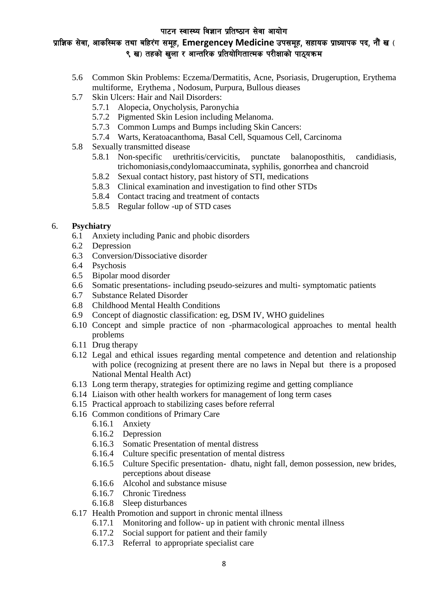# प्राज्ञिक सेवा, आकस्मिक तथा बहिरंग समूह, Emergencey Medicine उपसमूह, सहायक प्राध्यापक पद, नौं ख ( ९ ख) तहको खला र आन्तरिक प्रतियोगितात्मक परीक्षाको पाठयक्रम

- 5.6 Common Skin Problems: Eczema/Dermatitis, Acne, Psoriasis, Drugeruption, Erythema multiforme, Erythema , Nodosum, Purpura, Bullous dieases
- 5.7 Skin Ulcers: Hair and Nail Disorders:
	- 5.7.1 Alopecia, Onycholysis, Paronychia
	- 5.7.2 Pigmented Skin Lesion including Melanoma.
	- 5.7.3 Common Lumps and Bumps including Skin Cancers:
	- 5.7.4 Warts, Keratoacanthoma, Basal Cell, Squamous Cell, Carcinoma
- 5.8 Sexually transmitted disease
	- 5.8.1 Non-specific urethritis/cervicitis, punctate balanoposthitis, candidiasis, trichomoniasis,condylomaaccuminata, syphilis, gonorrhea and chancroid
	- 5.8.2 Sexual contact history, past history of STI, medications
	- 5.8.3 Clinical examination and investigation to find other STDs
	- 5.8.4 Contact tracing and treatment of contacts
	- 5.8.5 Regular follow -up of STD cases

## 6. **Psychiatry**

- 6.1 Anxiety including Panic and phobic disorders
- 6.2 Depression
- 6.3 Conversion/Dissociative disorder
- 6.4 Psychosis
- 6.5 Bipolar mood disorder
- 6.6 Somatic presentations- including pseudo-seizures and multi- symptomatic patients
- 6.7 Substance Related Disorder
- 6.8 Childhood Mental Health Conditions
- 6.9 Concept of diagnostic classification: eg, DSM IV, WHO guidelines
- 6.10 Concept and simple practice of non -pharmacological approaches to mental health problems
- 6.11 Drug therapy
- 6.12 Legal and ethical issues regarding mental competence and detention and relationship with police (recognizing at present there are no laws in Nepal but there is a proposed National Mental Health Act)
- 6.13 Long term therapy, strategies for optimizing regime and getting compliance
- 6.14 Liaison with other health workers for management of long term cases
- 6.15 Practical approach to stabilizing cases before referral
- 6.16 Common conditions of Primary Care
	- 6.16.1 Anxiety
		- 6.16.2 Depression
		- 6.16.3 Somatic Presentation of mental distress
		- 6.16.4 Culture specific presentation of mental distress
		- 6.16.5 Culture Specific presentation- dhatu, night fall, demon possession, new brides, perceptions about disease
		- 6.16.6 Alcohol and substance misuse
		- 6.16.7 Chronic Tiredness
		- 6.16.8 Sleep disturbances
- 6.17 Health Promotion and support in chronic mental illness
	- 6.17.1 Monitoring and follow- up in patient with chronic mental illness
	- 6.17.2 Social support for patient and their family
	- 6.17.3 Referral to appropriate specialist care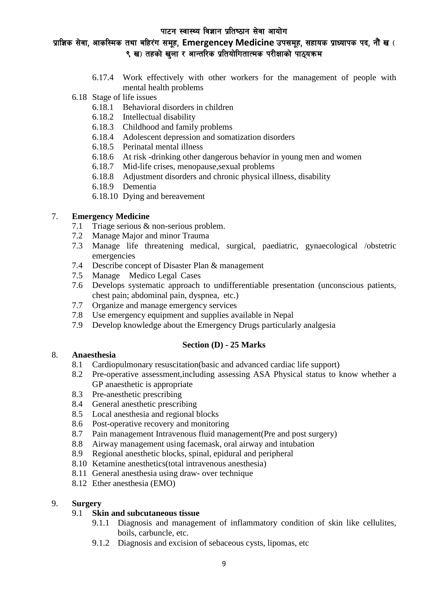# प्राज्ञिक सेवा, आकस्मिक तथा बहिरंग समूह, Emergencey Medicine उपसमूह, सहायक प्राध्यापक पद, नौं ख ( ९ ख) तहको खला र आन्तरिक प्रतियोगितात्मक परीक्षाको पाठयक्रम

- 6.17.4 Work effectively with other workers for the management of people with mental health problems
- 6.18 Stage of life issues
	- 6.18.1 Behavioral disorders in children
	- 6.18.2 Intellectual disability
	- 6.18.3 Childhood and family problems
	- 6.18.4 Adolescent depression and somatization disorders
	- 6.18.5 Perinatal mental illness
	- 6.18.6 At risk -drinking other dangerous behavior in young men and women
	- 6.18.7 Mid-life crises, menopause,sexual problems
	- 6.18.8 Adjustment disorders and chronic physical illness, disability
	- 6.18.9 Dementia
	- 6.18.10 Dying and bereavement

### 7. **Emergency Medicine**

- 7.1 Triage serious & non-serious problem.
- 7.2 Manage Major and minor Trauma
- 7.3 Manage life threatening medical, surgical, paediatric, gynaecological /obstetric emergencies
- 7.4 Describe concept of Disaster Plan & management
- 7.5 Manage Medico Legal Cases
- 7.6 Develops systematic approach to undifferentiable presentation (unconscious patients, chest pain; abdominal pain, dyspnea, etc.)
- 7.7 Organize and manage emergency services
- 7.8 Use emergency equipment and supplies available in Nepal
- 7.9 Develop knowledge about the Emergency Drugs particularly analgesia

## **Section (D) - 25 Marks**

### 8. **Anaesthesia**

- 8.1 Cardiopulmonary resuscitation(basic and advanced cardiac life support)
- 8.2 Pre-operative assessment,including assessing ASA Physical status to know whether a GP anaesthetic is appropriate
- 8.3 Pre-anesthetic prescribing
- 8.4 General anesthetic prescribing
- 8.5 Local anesthesia and regional blocks
- 8.6 Post-operative recovery and monitoring
- 8.7 Pain management Intravenous fluid management(Pre and post surgery)
- 8.8 Airway management using facemask, oral airway and intubation
- 8.9 Regional anesthetic blocks, spinal, epidural and peripheral
- 8.10 Ketamine anesthetics(total intravenous anesthesia)
- 8.11 General anesthesia using draw- over technique
- 8.12 Ether anesthesia (EMO)

## 9. **Surgery**

### 9.1 **Skin and subcutaneous tissue**

- 9.1.1 Diagnosis and management of inflammatory condition of skin like cellulites, boils, carbuncle, etc.
- 9.1.2 Diagnosis and excision of sebaceous cysts, lipomas, etc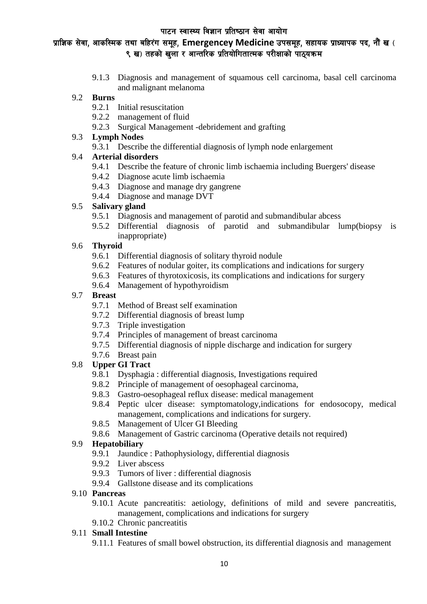# प्राज्ञिक सेवा, आकस्मिक तथा बहिरंग समूह, Emergencey Medicine उपसमूह, सहायक प्राध्यापक पद, नौं ख ( ९ ख) तहको खला र आन्तरिक प्रतियोगितात्मक परीक्षाको पाठयक्रम

9.1.3 Diagnosis and management of squamous cell carcinoma, basal cell carcinoma and malignant melanoma

## 9.2 **Burns**

- 9.2.1 Initial resuscitation
- 9.2.2 management of fluid
- 9.2.3 Surgical Management -debridement and grafting

## 9.3 **Lymph Nodes**

9.3.1 Describe the differential diagnosis of lymph node enlargement

## 9.4 **Arterial disorders**

- 9.4.1 Describe the feature of chronic limb ischaemia including Buergers' disease
- 9.4.2 Diagnose acute limb ischaemia
- 9.4.3 Diagnose and manage dry gangrene
- 9.4.4 Diagnose and manage DVT

## 9.5 **Salivary gland**

- 9.5.1 Diagnosis and management of parotid and submandibular abcess
- 9.5.2 Differential diagnosis of parotid and submandibular lump(biopsy is inappropriate)

## 9.6 **Thyroid**

- 9.6.1 Differential diagnosis of solitary thyroid nodule
- 9.6.2 Features of nodular goiter, its complications and indications for surgery
- 9.6.3 Features of thyrotoxicosis, its complications and indications for surgery
- 9.6.4 Management of hypothyroidism

## 9.7 **Breast**

- 9.7.1 Method of Breast self examination
- 9.7.2 Differential diagnosis of breast lump
- 9.7.3 Triple investigation
- 9.7.4 Principles of management of breast carcinoma
- 9.7.5 Differential diagnosis of nipple discharge and indication for surgery
- 9.7.6 Breast pain

## 9.8 **Upper GI Tract**

- 9.8.1 Dysphagia : differential diagnosis, Investigations required
- 9.8.2 Principle of management of oesophageal carcinoma,
- 9.8.3 Gastro-oesophageal reflux disease: medical management
- 9.8.4 Peptic ulcer disease: symptomatology,indications for endosocopy, medical management, complications and indications for surgery.
- 9.8.5 Management of Ulcer GI Bleeding
- 9.8.6 Management of Gastric carcinoma (Operative details not required)

### 9.9 **Hepatobiliary**

- 9.9.1 Jaundice : Pathophysiology, differential diagnosis
- 9.9.2 Liver abscess
- 9.9.3 Tumors of liver : differential diagnosis
- 9.9.4 Gallstone disease and its complications

### 9.10 **Pancreas**

- 9.10.1 Acute pancreatitis: aetiology, definitions of mild and severe pancreatitis, management, complications and indications for surgery
- 9.10.2 Chronic pancreatitis

## 9.11 **Small Intestine**

9.11.1 Features of small bowel obstruction, its differential diagnosis and management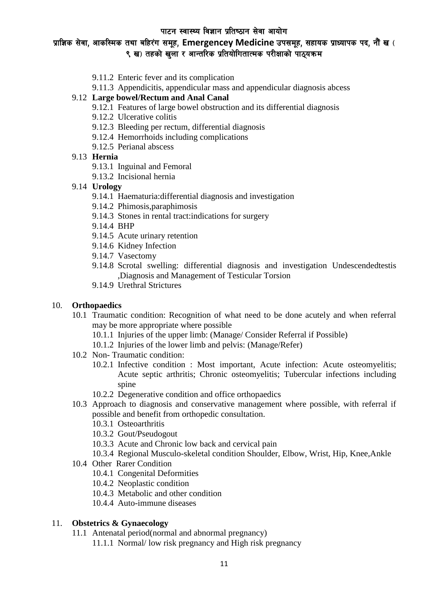# प्राज्ञिक सेवा, आकस्मिक तथा बहिरंग समूह, Emergencey Medicine उपसमूह, सहायक प्राध्यापक पद, नौं ख ( ९ ख) तहको खला र आन्तरिक प्रतियोगितात्मक परीक्षाको पाठयक्रम

- 9.11.2 Enteric fever and its complication
- 9.11.3 Appendicitis, appendicular mass and appendicular diagnosis abcess

#### 9.12 **Large bowel/Rectum and Anal Canal**

- 9.12.1 Features of large bowel obstruction and its differential diagnosis
- 9.12.2 Ulcerative colitis
- 9.12.3 Bleeding per rectum, differential diagnosis
- 9.12.4 Hemorrhoids including complications
- 9.12.5 Perianal abscess

#### 9.13 **Hernia**

- 9.13.1 Inguinal and Femoral
- 9.13.2 Incisional hernia
- 9.14 **Urology**
	- 9.14.1 Haematuria:differential diagnosis and investigation
	- 9.14.2 Phimosis,paraphimosis
	- 9.14.3 Stones in rental tract:indications for surgery
	- 9.14.4 BHP
	- 9.14.5 Acute urinary retention
	- 9.14.6 Kidney Infection
	- 9.14.7 Vasectomy
	- 9.14.8 Scrotal swelling: differential diagnosis and investigation Undescendedtestis ,Diagnosis and Management of Testicular Torsion
	- 9.14.9 Urethral Strictures

#### 10. **Orthopaedics**

- 10.1 Traumatic condition: Recognition of what need to be done acutely and when referral may be more appropriate where possible
	- 10.1.1 Injuries of the upper limb: (Manage/ Consider Referral if Possible)
	- 10.1.2 Injuries of the lower limb and pelvis: (Manage/Refer)
- 10.2 Non- Traumatic condition:
	- 10.2.1 Infective condition : Most important, Acute infection: Acute osteomyelitis; Acute septic arthritis; Chronic osteomyelitis; Tubercular infections including spine
	- 10.2.2 Degenerative condition and office orthopaedics
- 10.3 Approach to diagnosis and conservative management where possible, with referral if possible and benefit from orthopedic consultation.
	- 10.3.1 Osteoarthritis
	- 10.3.2 Gout/Pseudogout
	- 10.3.3 Acute and Chronic low back and cervical pain
	- 10.3.4 Regional Musculo-skeletal condition Shoulder, Elbow, Wrist, Hip, Knee,Ankle
- 10.4 Other Rarer Condition
	- 10.4.1 Congenital Deformities
	- 10.4.2 Neoplastic condition
	- 10.4.3 Metabolic and other condition
	- 10.4.4 Auto-immune diseases

### 11. **Obstetrics & Gynaecology**

- 11.1 Antenatal period(normal and abnormal pregnancy)
	- 11.1.1 Normal/ low risk pregnancy and High risk pregnancy